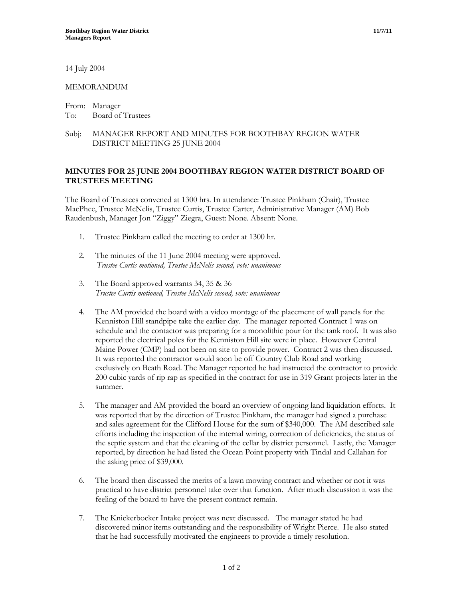14 July 2004

## MEMORANDUM

From: Manager To: Board of Trustees

## Subj: MANAGER REPORT AND MINUTES FOR BOOTHBAY REGION WATER DISTRICT MEETING 25 JUNE 2004

## **MINUTES FOR 25 JUNE 2004 BOOTHBAY REGION WATER DISTRICT BOARD OF TRUSTEES MEETING**

The Board of Trustees convened at 1300 hrs. In attendance: Trustee Pinkham (Chair), Trustee MacPhee, Trustee McNelis, Trustee Curtis, Trustee Carter, Administrative Manager (AM) Bob Raudenbush, Manager Jon "Ziggy" Ziegra, Guest: None. Absent: None.

- 1. Trustee Pinkham called the meeting to order at 1300 hr.
- 2. The minutes of the 11 June 2004 meeting were approved. *Trustee Curtis motioned, Trustee McNelis second, vote: unanimous*
- 3. The Board approved warrants 34, 35 & 36 *Trustee Curtis motioned, Trustee McNelis second, vote: unanimous*
- 4. The AM provided the board with a video montage of the placement of wall panels for the Kenniston Hill standpipe take the earlier day. The manager reported Contract 1 was on schedule and the contactor was preparing for a monolithic pour for the tank roof. It was also reported the electrical poles for the Kenniston Hill site were in place. However Central Maine Power (CMP) had not been on site to provide power. Contract 2 was then discussed. It was reported the contractor would soon be off Country Club Road and working exclusively on Beath Road. The Manager reported he had instructed the contractor to provide 200 cubic yards of rip rap as specified in the contract for use in 319 Grant projects later in the summer.
- 5. The manager and AM provided the board an overview of ongoing land liquidation efforts. It was reported that by the direction of Trustee Pinkham, the manager had signed a purchase and sales agreement for the Clifford House for the sum of \$340,000. The AM described sale efforts including the inspection of the internal wiring, correction of deficiencies, the status of the septic system and that the cleaning of the cellar by district personnel. Lastly, the Manager reported, by direction he had listed the Ocean Point property with Tindal and Callahan for the asking price of \$39,000.
- 6. The board then discussed the merits of a lawn mowing contract and whether or not it was practical to have district personnel take over that function. After much discussion it was the feeling of the board to have the present contract remain.
- 7. The Knickerbocker Intake project was next discussed. The manager stated he had discovered minor items outstanding and the responsibility of Wright Pierce. He also stated that he had successfully motivated the engineers to provide a timely resolution.